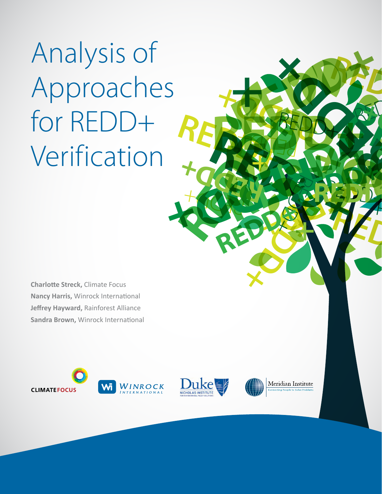**REDD+** REDD+ Analysis of Approaches for REDD+ Verification

**Charlotte Streck,** Climate Focus **Nancy Harris,** Winrock International **Jeffrey Hayward,** Rainforest Alliance **Sandra Brown,** Winrock International







RED 1999

**REDD+ REDD+**

**REDD+** 

**REDD+**

**REDD+**

**+**

RED

**+**

**REDD+ REDD+**

RED &

**REDD+**

REDD+

RED BY

**+**

REDD+

REDD +

**REDDENTIFIER** 

REDDHAM REDDHAM REDDHAM REDDHAM REDDHAM REDDHAM REDDHAM REDDHAM REDDHAM REDDHAM REDDHAM REDDHAM REDDHAM REDDHAM REDDHAM REDDHAM REDDHAM REDDHAM REDDHAM REDDHAM REDDHAM REDDHAM REDDHAM REDDHAM REDDHAM REDDHAM REDDHAM REDDHA

**REDD+**

REDD+

**REDD+**

RED 18

**REDD+**

REDDED.

REDD+

**REDDE**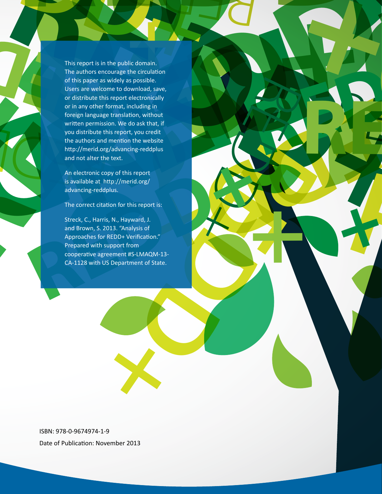This equivalent in the public domain.<br>
This entropy is a widely as possible.<br>
This entropy is a widely as possible.<br>
Using the critical space is widely as possible.<br>
Or distribute this resport electronically<br>
or or any oth This report is in the public domain.<br>
This report is in the public domain.<br>
This report is in the public domain.<br>
of this paper as widely as positive.<br>
Users are welcome to download, swe,<br>
or is nay other format, including **REDD+** written permissi<br>
you distribute the<br>
the authors and<br>
http://merid.org<br>
and not alter the<br>
An electronic co<br>
is available at his<br>
advancing-reddt This report is in the public domain.<br>
This report is in the public domain.<br>
This report is in the public domain.<br>
Users are welcome to downtoded, see,<br>
users are welcome to downtoded, see,<br>
user distribute this report elec This report is in the public domain.<br>
The authors encourage the drivation<br>
of this paper as widely as possible.<br>
Users are welcome to download, save,<br>
or distribute this report electronically<br>
or than y other format, inclu **REDDENDER IN THE CONFERENCE CONFERENCE (SCREEP)**<br> **REDDER IN THE CONFERENCE CONFERENCE CONFERENCE CONFERENCE CONFERENCE CONFERENCE CONFERENCE CONFERENCE CONFERENCE CONFERENCE CONFERENCE CONFERENCE CONFERENCE CONFERENCE CO** This report is in the public domain.<br>
The authors encourage the circulation<br>
of this paper as widely as possible.<br>
Users are welcome to download, sive,<br>
users are welcome to download, sive,<br>
or distribute this report elect This report is in the public domain. **+**The authors encourage the circulation of this paper as widely as possible. Users are welcome to download, save, or distribute this report electronically or in any other format, including in foreign language translation, without written permission. We do ask that, if you distribute this report, you credit the authors and mention the website http://merid.org/advancing-reddplus and not alter the text.

REDDH JO

RED

**+**

An electronic copy of this report is available at http://merid.org/ advancing-reddplus.

The correct citation for this report is:

in memoin in exercising reddplus<br>
Tep/advancing-reddplus<br>
he text.<br>
Copy of this report<br>
http://merid.org/<br>
phus.<br>
azona : "Analysis of<br>
r REDD+ Verification."<br>
support from<br>
support from<br>
Support from<br>
Support from<br>
Suppo An electronic copy of this report<br>is available at http://merid.org/<br>advancing-reddplus.<br>The correct citation for this report is:<br>Streck, C., Harris, N., Hayward, J.<br>and Brown, S. 2013. "Analysis of<br>Approaches for REDD+ Ver Streck, C., Harris, N., Hayward, J. and Brown, S. 2013. "Analysis of Approaches for REDD+ Verification." Prepared with support from cooperative agreement #S-LMAQM-13- CA-1128 with US Department of State.

**REDD+**

RED

REDDHAM

 $\frac{1}{2}$ 

RED B

RED BY

ISBN: 978-0-9674974-1-9 Date of Publication: November 2013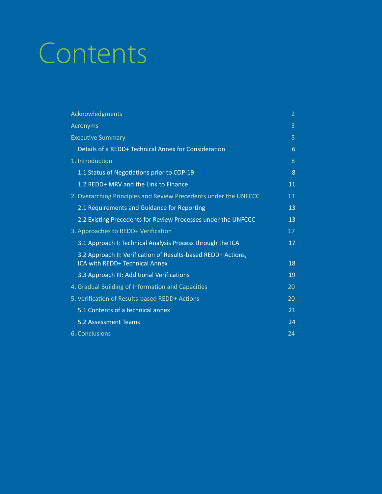# **Contents Reduced Services**<br> **REDDENTS**<br> **REDDENTS REDD+ REDD+** Contents

| Contents                                                                                        |  |
|-------------------------------------------------------------------------------------------------|--|
|                                                                                                 |  |
|                                                                                                 |  |
|                                                                                                 |  |
|                                                                                                 |  |
| Acknowledgments                                                                                 |  |
| Acronyms                                                                                        |  |
| <b>Executive Summary</b><br>Details of a REDD+ Technical Annex for Consideration                |  |
|                                                                                                 |  |
| 1. Introduction                                                                                 |  |
| 1.1 Status of Negotiations prior to COP-19                                                      |  |
| 1.2 REDD+ MRV and the Link to Finance                                                           |  |
| 2. Overarching Principles and Review Precedents under the UNFCCC                                |  |
| 2.1 Requirements and Guidance for Reporting                                                     |  |
| 2.2 Existing Precedents for Review Processes under the UNFCCC                                   |  |
| 3. Approaches to REDD+ Verification                                                             |  |
| 3.1 Approach I: Technical Analysis Process through the ICA                                      |  |
| 3.2 Approach II: Verification of Results-based REDD+ Actions,<br>ICA with REDD+ Technical Annex |  |
|                                                                                                 |  |
| 3.3 Approach III: Additional Verifications                                                      |  |
| 4. Gradual Building of Information and Capacities                                               |  |
| 5. Verification of Results-based REDD+ Actions                                                  |  |
| 5.1 Contents of a technical annex<br>5.2 Assessment Teams                                       |  |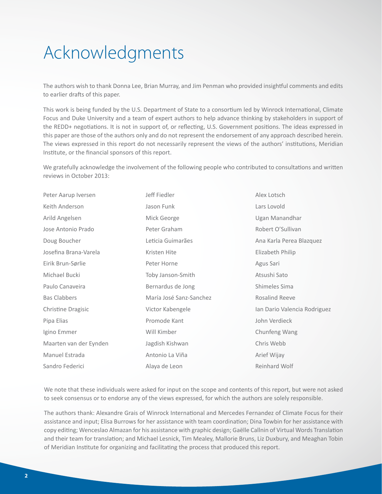# <span id="page-3-0"></span>Acknowledgments

The authors wish to thank Donna Lee, Brian Murray, and Jim Penman who provided insightful comments and edits to earlier drafts of this paper.

This work is being funded by the U.S. Department of State to a consortium led by Winrock International, Climate Focus and Duke University and a team of expert authors to help advance thinking by stakeholders in support of the REDD+ negotiations. It is not in support of, or reflecting, U.S. Government positions. The ideas expressed in this paper are those of the authors only and do not represent the endorsement of any approach described herein. The views expressed in this report do not necessarily represent the views of the authors' institutions, Meridian Institute, or the financial sponsors of this report.

We gratefully acknowledge the involvement of the following people who contributed to consultations and written reviews in October 2013:

| Peter Aarup Iversen    | Jeff Fiedler            | Alex Lotsch                  |
|------------------------|-------------------------|------------------------------|
| Keith Anderson         | Jason Funk              | Lars Lovold                  |
| Arild Angelsen         | Mick George             | Ugan Manandhar               |
| Jose Antonio Prado     | Peter Graham            | Robert O'Sullivan            |
| Doug Boucher           | Leticia Guimarães       | Ana Karla Perea Blazquez     |
| Josefina Brana-Varela  | Kristen Hite            | Elizabeth Philip             |
| Eirik Brun-Sørlie      | Peter Horne             | Agus Sari                    |
| Michael Bucki          | Toby Janson-Smith       | Atsushi Sato                 |
| Paulo Canaveira        | Bernardus de Jong       | Shimeles Sima                |
| <b>Bas Clabbers</b>    | María José Sanz-Sanchez | Rosalind Reeve               |
| Christine Dragisic     | Victor Kabengele        | Ian Dario Valencia Rodriguez |
| Pipa Elias             | Promode Kant            | John Verdieck                |
| Igino Emmer            | Will Kimber             | Chunfeng Wang                |
| Maarten van der Eynden | Jagdish Kishwan         | Chris Webb                   |
| Manuel Estrada         | Antonio La Viña         | Arief Wijay                  |
| Sandro Federici        | Alaya de Leon           | Reinhard Wolf                |

We note that these individuals were asked for input on the scope and contents of this report, but were not asked to seek consensus or to endorse any of the views expressed, for which the authors are solely responsible.

The authors thank: Alexandre Grais of Winrock International and Mercedes Fernandez of Climate Focus for their assistance and input; Elisa Burrows for her assistance with team coordination; Dina Towbin for her assistance with copy editing; Wenceslao Almazan for his assistance with graphic design; Gaëlle Callnin of Virtual Words Translation and their team for translation; and Michael Lesnick, Tim Mealey, Mallorie Bruns, Liz Duxbury, and Meaghan Tobin of Meridian Institute for organizing and facilitating the process that produced this report.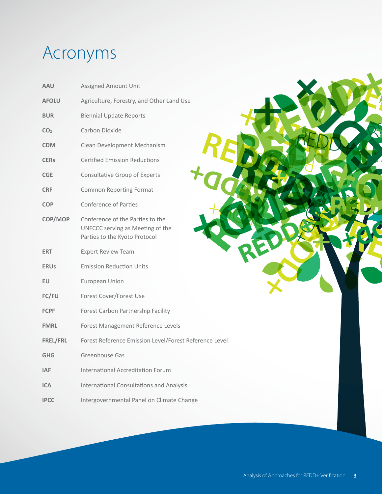# <span id="page-4-0"></span>Acronyms

| <b>AAU</b>      | Assigned Amount Unit                                                                                  |
|-----------------|-------------------------------------------------------------------------------------------------------|
| <b>AFOLU</b>    | Agriculture, Forestry, and Other Land Use                                                             |
| <b>BUR</b>      | <b>Biennial Update Reports</b>                                                                        |
| CO <sub>2</sub> | Carbon Dioxide                                                                                        |
| <b>CDM</b>      | Clean Development Mechanism                                                                           |
| <b>CERs</b>     | <b>Certified Emission Reductions</b>                                                                  |
| CGE             | <b>Consultative Group of Experts</b>                                                                  |
| <b>CRF</b>      | Common Reporting Format                                                                               |
| <b>COP</b>      | Conference of Parties                                                                                 |
| COP/MOP         | Conference of the Parties to the<br>UNFCCC serving as Meeting of the<br>Parties to the Kyoto Protocol |
| <b>ERT</b>      | <b>Expert Review Team</b>                                                                             |
| <b>ERUs</b>     | <b>Emission Reduction Units</b>                                                                       |
| <b>EU</b>       | European Union                                                                                        |
| FC/FU           | Forest Cover/Forest Use                                                                               |
| <b>FCPF</b>     | Forest Carbon Partnership Facility                                                                    |
| <b>FMRL</b>     | Forest Management Reference Levels                                                                    |
| FREL/FRL        | Forest Reference Emission Level/Forest Reference Level                                                |
| <b>GHG</b>      | Greenhouse Gas                                                                                        |
| <b>IAF</b>      | International Accreditation Forum                                                                     |
| <b>ICA</b>      | <b>International Consultations and Analysis</b>                                                       |
| <b>IPCC</b>     | Intergovernmental Panel on Climate Change                                                             |

REDD #

**REDDEN** 

**REDD+** REDD+

**REDD+**

**REDD+**

**REDD+**

REGO

REDD

**REDD+**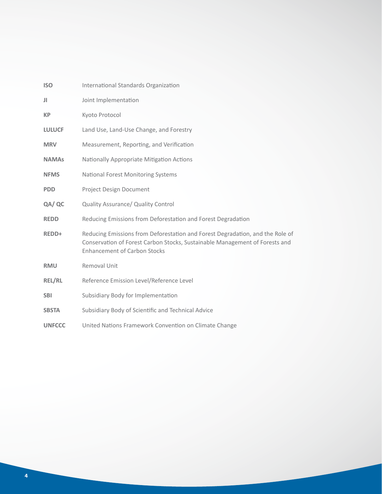| <b>ISO</b>    | International Standards Organization                                                                                                                                                                |
|---------------|-----------------------------------------------------------------------------------------------------------------------------------------------------------------------------------------------------|
| Л             | Joint Implementation                                                                                                                                                                                |
| <b>KP</b>     | Kyoto Protocol                                                                                                                                                                                      |
| <b>LULUCF</b> | Land Use, Land-Use Change, and Forestry                                                                                                                                                             |
| <b>MRV</b>    | Measurement, Reporting, and Verification                                                                                                                                                            |
| <b>NAMAs</b>  | Nationally Appropriate Mitigation Actions                                                                                                                                                           |
| <b>NFMS</b>   | <b>National Forest Monitoring Systems</b>                                                                                                                                                           |
| <b>PDD</b>    | Project Design Document                                                                                                                                                                             |
| QA/ QC        | Quality Assurance/ Quality Control                                                                                                                                                                  |
| <b>REDD</b>   | Reducing Emissions from Deforestation and Forest Degradation                                                                                                                                        |
| REDD+         | Reducing Emissions from Deforestation and Forest Degradation, and the Role of<br>Conservation of Forest Carbon Stocks, Sustainable Management of Forests and<br><b>Enhancement of Carbon Stocks</b> |
| <b>RMU</b>    | Removal Unit                                                                                                                                                                                        |
| <b>REL/RL</b> | Reference Emission Level/Reference Level                                                                                                                                                            |
| <b>SBI</b>    | Subsidiary Body for Implementation                                                                                                                                                                  |
| <b>SBSTA</b>  | Subsidiary Body of Scientific and Technical Advice                                                                                                                                                  |
| <b>UNFCCC</b> | United Nations Framework Convention on Climate Change                                                                                                                                               |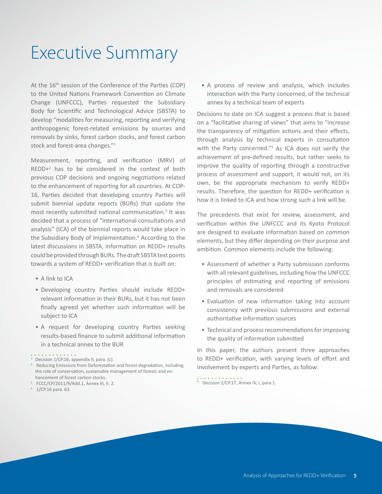# <span id="page-6-0"></span>Executive Summary

At the 16<sup>th</sup> session of the Conference of the Parties (COP) to the United Nations Framework Convention on Climate Change (UNFCCC), Parties requested the Subsidiary Body for Scientific and Technological Advice (SBSTA) to develop "modalities for measuring, reporting and verifying anthropogenic forest-related emissions by sources and removals by sinks, forest carbon stocks, and forest carbon stock and forest-area changes."<sup>1</sup>

Measurement, reporting, and verification (MRV) of  $REDD+<sup>2</sup>$  has to be considered in the context of both previous COP decisions and ongoing negotiations related to the enhancement of reporting for all countries. At COP-16, Parties decided that developing country Parties will submit biennial update reports (BURs) that update the most recently submitted national communication.<sup>3</sup> It was decided that a process of "international consultations and analysis" (ICA) of the biennial reports would take place in the Subsidiary Body of Implementation.<sup>4</sup> According to the latest discussions in SBSTA, information on REDD+ results could be provided through BURs. The draft SBSTA text points towards a system of REDD+ verification that is built on:

- A link to ICA
- Developing country Parties should include REDD+ relevant information in their BURs, but it has not been finally agreed yet whether such information will be subject to ICA
- A request for developing country Parties seeking results-based finance to submit additional information in a technical annex to the BUR

- 3 FCCC/CP/2011/9/Add.1, Annex III, II. 2.
- 4 1/CP.16 para. 63.

• A process of review and analysis, which includes interaction with the Party concerned, of the technical annex by a technical team of experts

Decisions to date on ICA suggest a process that is based on a "facilitative sharing of views" that aims to "increase the transparency of mitigation actions and their effects, through analysis by technical experts in consultation with the Party concerned."<sup>5</sup> As ICA does not verify the achievement of pre-defined results, but rather seeks to improve the quality of reporting through a constructive process of assessment and support, it would not, on its own, be the appropriate mechanism to verify REDD+ results. Therefore, the question for REDD+ verification is how it is linked to ICA and how strong such a link will be.

The precedents that exist for review, assessment, and verification within the UNFCCC and its Kyoto Protocol are designed to evaluate information based on common elements, but they differ depending on their purpose and ambition. Common elements include the following:

- Assessment of whether a Party submission conforms with all relevant guidelines, including how the UNFCCC principles of estimating and reporting of emissions and removals are considered
- Evaluation of new information taking into account consistency with previous submissions and external authoritative information sources
- Technical and process recommendations for improving the quality of information submitted

In this paper, the authors present three approaches to REDD+ verification, with varying levels of effort and involvement by experts and Parties, as follow:

<sup>5</sup> Decision 2/CP.17, Annex IV, I, para.1.

<sup>&</sup>lt;sup>1</sup> Decision 1/CP.16, appendix II, para. (c).

<sup>&</sup>lt;sup>2</sup> Reducing Emissions from Deforestation and forest degradation, including the role of conservation, sustainable management of forests and enhancement of forest carbon stocks.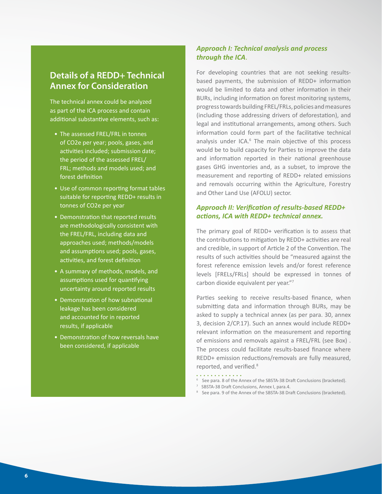## <span id="page-7-0"></span>**Details of a REDD+ Technical Annex for Consideration**

The technical annex could be analyzed as part of the ICA process and contain additional substantive elements, such as:

- The assessed FREL/FRL in tonnes of CO2e per year; pools, gases, and activities included; submission date; the period of the assessed FREL/ FRL; methods and models used; and forest definition
- Use of common reporting format tables suitable for reporting REDD+ results in tonnes of CO2e per year
- Demonstration that reported results are methodologically consistent with the FREL/FRL, including data and approaches used; methods/models and assumptions used; pools, gases, activities, and forest definition
- A summary of methods, models, and assumptions used for quantifying uncertainty around reported results
- Demonstration of how subnational leakage has been considered and accounted for in reported results, if applicable
- Demonstration of how reversals have been considered, if applicable

## *Approach I: Technical analysis and process through the ICA*.

For developing countries that are not seeking resultsbased payments, the submission of REDD+ information would be limited to data and other information in their BURs, including information on forest monitoring systems, progress towards building FREL/FRLs, policies and measures (including those addressing drivers of deforestation), and legal and institutional arrangements, among others. Such information could form part of the facilitative technical analysis under ICA.<sup>6</sup> The main objective of this process would be to build capacity for Parties to improve the data and information reported in their national greenhouse gases GHG inventories and, as a subset, to improve the measurement and reporting of REDD+ related emissions and removals occurring within the Agriculture, Forestry and Other Land Use (AFOLU) sector.

## *Approach II: Verification of results-based REDD+ actions, ICA with REDD+ technical annex.*

The primary goal of REDD+ verification is to assess that the contributions to mitigation by REDD+ activities are real and credible, in support of Article 2 of the Convention. The results of such activities should be "measured against the forest reference emission levels and/or forest reference levels [FRELs/FRLs] should be expressed in tonnes of carbon dioxide equivalent per year."<sup>7</sup>

Parties seeking to receive results-based finance, when submitting data and information through BURs, may be asked to supply a technical annex (as per para. 30, annex 3, decision 2/CP.17). Such an annex would include REDD+ relevant information on the measurement and reporting of emissions and removals against a FREL/FRL (see Box) . The process could facilitate results-based finance where REDD+ emission reductions/removals are fully measured, reported, and verified.<sup>8</sup>

- . . . . . . . . . . . . .
- <sup>6</sup> See para. 8 of the Annex of the SBSTA-38 Draft Conclusions (bracketed).
- <sup>7</sup> SBSTA-38 Draft Conclusions, Annex I, para.4.
- <sup>8</sup> See para. 9 of the Annex of the SBSTA-38 Draft Conclusions (bracketed).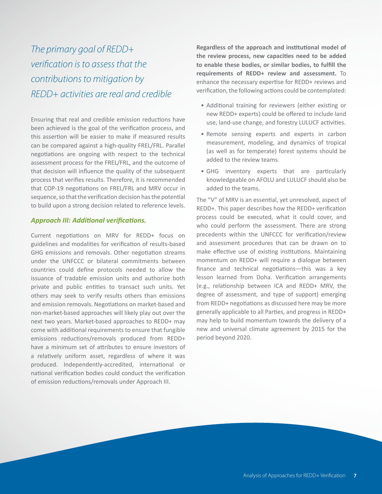The primary goal of REDD+ verification is to assess that the contributions to mitigation by REDD+ activities are real and credible

Ensuring that real and credible emission reductions have been achieved is the goal of the verification process, and this assertion will be easier to make if measured results can be compared against a high-quality FREL/FRL. Parallel negotiations are ongoing with respect to the technical assessment process for the FREL/FRL, and the outcome of that decision will influence the quality of the subsequent process that verifies results. Therefore, it is recommended that COP-19 negotiations on FREL/FRL and MRV occur in sequence, so that the verification decision has the potential to build upon a strong decision related to reference levels.

#### *Approach III: Additional verifications.*

Current negotiations on MRV for REDD+ focus on guidelines and modalities for verification of results-based GHG emissions and removals. Other negotiation streams under the UNFCCC or bilateral commitments between countries could define protocols needed to allow the issuance of tradable emission units and authorize both private and public entities to transact such units. Yet others may seek to verify results others than emissions and emission removals. Negotiations on market-based and non-market-based approaches will likely play out over the next two years. Market-based approaches to REDD+ may come with additional requirements to ensure that fungible emissions reductions/removals produced from REDD+ have a minimum set of attributes to ensure investors of a relatively uniform asset, regardless of where it was produced. Independently-accredited, international or national verification bodies could conduct the verification of emission reductions/removals under Approach III.

**Regardless of the approach and institutional model of the review process, new capacities need to be added to enable these bodies, or similar bodies, to fulfill the requirements of REDD+ review and assessment.** To enhance the necessary expertise for REDD+ reviews and verification, the following actions could be contemplated:

- Additional training for reviewers (either existing or new REDD+ experts) could be offered to include land use, land-use change, and forestry LULUCF activities.
- Remote sensing experts and experts in carbon measurement, modeling, and dynamics of tropical (as well as for temperate) forest systems should be added to the review teams.
- GHG inventory experts that are particularly knowledgeable on AFOLU and LULUCF should also be added to the teams.

The "V" of MRV is an essential, yet unresolved, aspect of REDD+. This paper describes how the REDD+ verification process could be executed, what it could cover, and who could perform the assessment. There are strong precedents within the UNFCCC for verification/review and assessment procedures that can be drawn on to make effective use of existing institutions. Maintaining momentum on REDD+ will require a dialogue between finance and technical negotiations—this was a key lesson learned from Doha. Verification arrangements (e.g., relationship between ICA and REDD+ MRV, the degree of assessment, and type of support) emerging from REDD+ negotiations as discussed here may be more generally applicable to all Parties, and progress in REDD+ may help to build momentum towards the delivery of a new and universal climate agreement by 2015 for the period beyond 2020.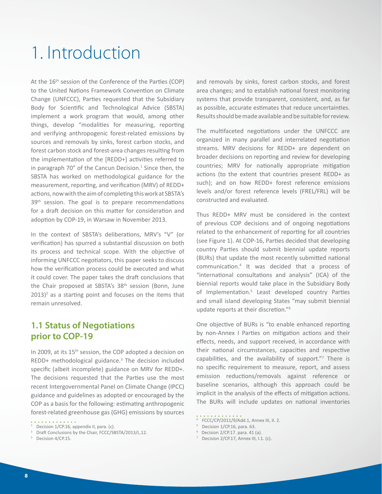# <span id="page-9-0"></span>1. Introduction

At the 16<sup>th</sup> session of the Conference of the Parties (COP) to the United Nations Framework Convention on Climate Change (UNFCCC), Parties requested that the Subsidiary Body for Scientific and Technological Advice (SBSTA) implement a work program that would, among other things, develop "modalities for measuring, reporting and verifying anthropogenic forest-related emissions by sources and removals by sinks, forest carbon stocks, and forest carbon stock and forest-area changes resulting from the implementation of the [REDD+] activities referred to in paragraph 70" of the Cancun Decision.<sup>1</sup> Since then, the SBSTA has worked on methodological guidance for the measurement, reporting, and verification (MRV) of REDD+ actions, now with the aim of completing this work at SBSTA's 39<sup>th</sup> session. The goal is to prepare recommendations for a draft decision on this matter for consideration and adoption by COP-19, in Warsaw in November 2013.

In the context of SBSTA's deliberations, MRV's "V" (or verification) has spurred a substantial discussion on both its process and technical scope. With the objective of informing UNFCCC negotiators, this paper seeks to discuss how the verification process could be executed and what it could cover. The paper takes the draft conclusions that the Chair proposed at SBSTA's 38<sup>th</sup> session (Bonn, June  $2013$ <sup>2</sup> as a starting point and focuses on the items that remain unresolved.

## **1.1 Status of Negotiations prior to COP-19**

In 2009, at its 15<sup>th</sup> session, the COP adopted a decision on REDD+ methodological guidance.<sup>3</sup> The decision included specific (albeit incomplete) guidance on MRV for REDD+. The decisions requested that the Parties use the most recent Intergovernmental Panel on Climate Change (IPCC) guidance and guidelines as adopted or encouraged by the COP as a basis for the following: estimating anthropogenic forest-related greenhouse gas (GHG) emissions by sources and removals by sinks, forest carbon stocks, and forest area changes; and to establish national forest monitoring systems that provide transparent, consistent, and, as far as possible, accurate estimates that reduce uncertainties. Results should be made available and be suitable for review.

The multifaceted negotiations under the UNFCCC are organized in many parallel and interrelated negotiation streams. MRV decisions for REDD+ are dependent on broader decisions on reporting and review for developing countries; MRV for nationally appropriate mitigation actions (to the extent that countries present REDD+ as such); and on how REDD+ forest reference emissions levels and/or forest reference levels (FREL/FRL) will be constructed and evaluated.

Thus REDD+ MRV must be considered in the context of previous COP decisions and of ongoing negotiations related to the enhancement of reporting for all countries (see Figure 1). At COP-16, Parties decided that developing country Parties should submit biennial update reports (BURs) that update the most recently submitted national communication.<sup>4</sup> It was decided that a process of "international consultations and analysis" (ICA) of the biennial reports would take place in the Subsidiary Body of Implementation.<sup>5</sup> Least developed country Parties and small island developing States "may submit biennial update reports at their discretion."<sup>6</sup>

One objective of BURs is "to enable enhanced reporting by non-Annex I Parties on mitigation actions and their effects, needs, and support received, in accordance with their national circumstances, capacities and respective capabilities, and the availability of support."<sup>7</sup> There is no specific requirement to measure, report, and assess emission reductions/removals against reference or baseline scenarios, although this approach could be implicit in the analysis of the effects of mitigation actions. The BURs will include updates on national inventories

- <sup>5</sup> Decision 1/CP.16, para. 63.
- $6$  Decision 2/CP.17. para. 41 (a).
- <sup>7</sup> Decision  $2/CP.17$ , Annex III, I.1. (c).

<sup>. . . . . . . . . . . . .</sup> <sup>1</sup> Decision 1/CP.16, appendix II, para. (c).

<sup>&</sup>lt;sup>2</sup> Draft Conclusions by the Chair, FCCC/SBSTA/2013/L.12.

<sup>&</sup>lt;sup>3</sup> Decision 4/CP.15.

<sup>4</sup> FCCC/CP/2011/9/Add.1, Annex III, II. 2.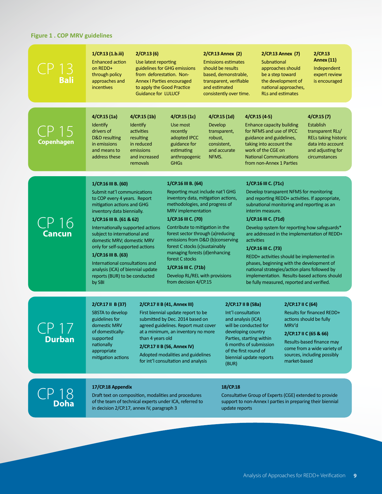## **Figure 1 . COP MRV guidelines**

| <b>Bali</b>                                  | 1/CP.13 (1.b.iii)<br><b>Enhanced action</b><br>on REDD+<br>through policy<br>approaches and<br><i>incentives</i>                                                                                                                                                                                                                                                                                                                                           | 2/CP.13(6)<br>Use latest reporting<br>from deforestation. Non-<br><b>Annex I Parties encouraged</b><br>to apply the Good Practice<br><b>Guidance for LULUCF</b>                                                                                                                                                    | guidelines for GHG emissions                                                                                                                                                                                                                                                                                                                                                                                                                                        | 2/CP.13 Annex (2)<br><b>Emissions estimates</b><br>should be results<br>based, demonstrable,<br>transparent, verifiable<br>and estimated<br>consistently over time. |                                                                                                                                                                                                                                  | 2/CP.13 Annex (7)<br>Subnational<br>approaches should<br>be a step toward<br>the development of<br>national approaches,<br><b>RLs and estimates</b>                                                                                                                                                                                                                                                                                                                                                                                                                        | 2/CP.13<br><b>Annex (11)</b><br>Independent<br>expert review<br>is encouraged                                                                                                                                   |
|----------------------------------------------|------------------------------------------------------------------------------------------------------------------------------------------------------------------------------------------------------------------------------------------------------------------------------------------------------------------------------------------------------------------------------------------------------------------------------------------------------------|--------------------------------------------------------------------------------------------------------------------------------------------------------------------------------------------------------------------------------------------------------------------------------------------------------------------|---------------------------------------------------------------------------------------------------------------------------------------------------------------------------------------------------------------------------------------------------------------------------------------------------------------------------------------------------------------------------------------------------------------------------------------------------------------------|---------------------------------------------------------------------------------------------------------------------------------------------------------------------|----------------------------------------------------------------------------------------------------------------------------------------------------------------------------------------------------------------------------------|----------------------------------------------------------------------------------------------------------------------------------------------------------------------------------------------------------------------------------------------------------------------------------------------------------------------------------------------------------------------------------------------------------------------------------------------------------------------------------------------------------------------------------------------------------------------------|-----------------------------------------------------------------------------------------------------------------------------------------------------------------------------------------------------------------|
| <b>Copenhagen</b>                            | 4/CP.15(1a)<br><b>Identify</b><br>drivers of<br>D&D resulting<br>in emissions<br>and means to<br>address these                                                                                                                                                                                                                                                                                                                                             | 4/CP.15(1b)<br>Identify<br>activities<br>resulting<br>in reduced<br>emissions<br>and increased<br>removals                                                                                                                                                                                                         | 4/CP.15 (1c)<br>Use most<br>recently<br>adopted IPCC<br>guidance for<br>estimating<br>anthropogenic<br><b>GHGs</b>                                                                                                                                                                                                                                                                                                                                                  | 4/CP.15(1d)<br>Develop<br>transparent,<br>robust,<br>consistent,<br>and accurate<br>NFMS.                                                                           |                                                                                                                                                                                                                                  | 4/CP.15 (4-5)<br><b>Enhance capacity building</b><br>for NFMS and use of IPCC<br>guidance and guidelines,<br>taking into account the<br>work of the CGE on<br><b>National Communications</b><br>from non-Annex 1 Parties                                                                                                                                                                                                                                                                                                                                                   | 4/CP.15(7)<br>Establish<br>transparent RLs/<br><b>RELs taking historic</b><br>data into account<br>and adjusting for<br>circumstances                                                                           |
| CP 16<br><b>Cancun</b>                       | 1/CP.16 III B. (60)<br>Submit nat'l communications<br>to COP every 4 years. Report<br>mitigation actions and GHG<br>inventory data biennially.<br>1/CP.16 III B. (61 & 62)<br>Internationally supported actions<br>subject to international and<br>domestic MRV; domestic MRV<br>only for self-supported actions<br>1/CP.16 III B. (63)<br>International consultations and<br>analysis (ICA) of biennial update<br>reports (BUR) to be conducted<br>by SBI |                                                                                                                                                                                                                                                                                                                    | 1/CP.16 III B. (64)<br>Reporting must include nat'l GHG<br>inventory data, mitigation actions,<br>methodologies, and progress of<br>MRV implementation<br>1/CP.16 III C. (70)<br>Contribute to mitigation in the<br>forest sector through (a)reducing<br>emissions from D&D (b)conserving<br>forest C stocks (c) sustainably<br>managing forests (d)enhancing<br>forest C stocks<br>1/CP.16 III C. (71b)<br>Develop RL/REL with provisions<br>from decision 4/CP.15 |                                                                                                                                                                     | activities                                                                                                                                                                                                                       | 1/CP.16 III C. (71c)<br>Develop transparent NFMS for monitoring<br>and reporting REDD+ activities. If appropriate,<br>subnational monitoring and reporting as an<br>interim measure.<br>1/CP.16 III C. (71d)<br>Develop system for reporting how safeguards*<br>are addressed in the implementation of REDD+<br>1/CP.16 III C. (73)<br>REDD+ activities should be implemented in<br>phases, beginning with the development of<br>national strategies/action plans followed by<br>implementation. Results-based actions should<br>be fully measured, reported and verified. |                                                                                                                                                                                                                 |
| $\sim$ $\sim$ $\sim$ $\sim$<br><b>Durban</b> | 2/CP.17 II B (37)<br>SBSTA to develop<br>guidelines for<br>domestic MRV<br>of domestically-<br>supported<br>nationally<br>appropriate<br>mitigation actions                                                                                                                                                                                                                                                                                                | 2/CP.17 II B (41, Annex III)<br>First biennial update report to be<br>submitted by Dec. 2014 based on<br>agreed guidelines. Report must cover<br>at a minimum, an inventory no more<br>than 4 years old<br>2/CP.17 II B (56, Annex IV)<br>Adopted modalities and guidelines<br>for int'l consultation and analysis |                                                                                                                                                                                                                                                                                                                                                                                                                                                                     |                                                                                                                                                                     | 2/CP.17 II B (58a)<br>Int'l consultation<br>and analysis (ICA)<br>will be conducted for<br>developing country<br>Parties, starting within<br>6 months of submission<br>of the first round of<br>biennial update reports<br>(BUR) |                                                                                                                                                                                                                                                                                                                                                                                                                                                                                                                                                                            | 2/CP.17 II C (64)<br>Results for financed REDD+<br>actions should be fully<br>2/CP.17 II C (65 & 66)<br>Results-based finance may<br>come from a wide variety of<br>sources, including possibly<br>market-based |
| $CP$ 18<br><b>Doha</b>                       | 17/CP.18 Appendix<br>Draft text on composition, modalities and procedures<br>of the team of technical experts under ICA, referred to<br>in decision 2/CP.17, annex IV, paragraph 3                                                                                                                                                                                                                                                                         |                                                                                                                                                                                                                                                                                                                    |                                                                                                                                                                                                                                                                                                                                                                                                                                                                     | 18/CP.18                                                                                                                                                            | update reports                                                                                                                                                                                                                   | Consultative Group of Experts (CGE) extended to provide<br>support to non-Annex I parties in preparing their biennial                                                                                                                                                                                                                                                                                                                                                                                                                                                      |                                                                                                                                                                                                                 |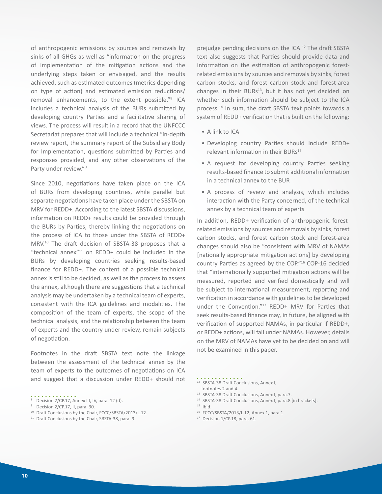of anthropogenic emissions by sources and removals by sinks of all GHGs as well as "information on the progress of implementation of the mitigation actions and the underlying steps taken or envisaged, and the results achieved, such as estimated outcomes (metrics depending on type of action) and estimated emission reductions/ removal enhancements, to the extent possible."<sup>8</sup> ICA includes a technical analysis of the BURs submitted by developing country Parties and a facilitative sharing of views. The process will result in a record that the UNFCCC Secretariat prepares that will include a technical "in-depth review report, the summary report of the Subsidiary Body for Implementation, questions submitted by Parties and responses provided, and any other observations of the Party under review."<sup>9</sup>

Since 2010, negotiations have taken place on the ICA of BURs from developing countries, while parallel but separate negotiations have taken place under the SBSTA on MRV for REDD+. According to the latest SBSTA discussions, information on REDD+ results could be provided through the BURs by Parties, thereby linking the negotiations on the process of ICA to those under the SBSTA of REDD+ MRV.<sup>10</sup> The draft decision of SBSTA-38 proposes that a "technical annex"<sup>11</sup> on REDD+ could be included in the BURs by developing countries seeking results-based finance for REDD+. The content of a possible technical annex is still to be decided, as well as the process to assess the annex, although there are suggestions that a technical analysis may be undertaken by a technical team of experts, consistent with the ICA guidelines and modalities. The composition of the team of experts, the scope of the technical analysis, and the relationship between the team of experts and the country under review, remain subjects of negotiation.

Footnotes in the draft SBSTA text note the linkage between the assessment of the technical annex by the team of experts to the outcomes of negotiations on ICA and suggest that a discussion under REDD+ should not

- <sup>10</sup> Draft Conclusions by the Chair, FCCC/SBSTA/2013/L.12.
- <sup>11</sup> Draft Conclusions by the Chair, SBSTA-38, para. 9.

prejudge pending decisions on the ICA.<sup>12</sup> The draft SBSTA text also suggests that Parties should provide data and information on the estimation of anthropogenic forestrelated emissions by sources and removals by sinks, forest carbon stocks, and forest carbon stock and forest-area changes in their BURs<sup>13</sup>, but it has not yet decided on whether such information should be subject to the ICA process.<sup>14</sup> In sum, the draft SBSTA text points towards a system of REDD+ verification that is built on the following:

- A link to ICA
- Developing country Parties should include REDD+ relevant information in their BURs<sup>15</sup>
- A request for developing country Parties seeking results-based finance to submit additional information in a technical annex to the BUR
- A process of review and analysis, which includes interaction with the Party concerned, of the technical annex by a technical team of experts

In addition, REDD+ verification of anthropogenic forestrelated emissions by sources and removals by sinks, forest carbon stocks, and forest carbon stock and forest-area changes should also be "consistent with MRV of NAMAs [nationally appropriate mitigation actions] by developing country Parties as agreed by the COP."<sup>16</sup> COP-16 decided that "internationally supported mitigation actions will be measured, reported and verified domestically and will be subject to international measurement, reporting and verification in accordance with guidelines to be developed under the Convention."<sup>17</sup> REDD+ MRV for Parties that seek results-based finance may, in future, be aligned with verification of supported NAMAs, in particular if REDD+, or REDD+ actions, will fall under NAMAs. However, details on the MRV of NAMAs have yet to be decided on and will not be examined in this paper.

- <sup>12</sup> SBSTA-38 Draft Conclusions, Annex I, footnotes 2 and 4.
- <sup>13</sup> SBSTA-38 Draft Conclusions, Annex I, para.7.
- <sup>14</sup> SBSTA-38 Draft Conclusions, Annex I, para.8 [in brackets].
- $15$  Ibid.
- <sup>16</sup> FCCC/SBSTA/2013/L.12, Annex 1, para.1.
- 17 Decision 1/CP.18, para. 61.

<sup>. . . . . . .</sup> <sup>8</sup> Decision 2/CP.17, Annex III, IV, para. 12 (d).

<sup>&</sup>lt;sup>9</sup> Decision 2/CP.17, II, para. 30.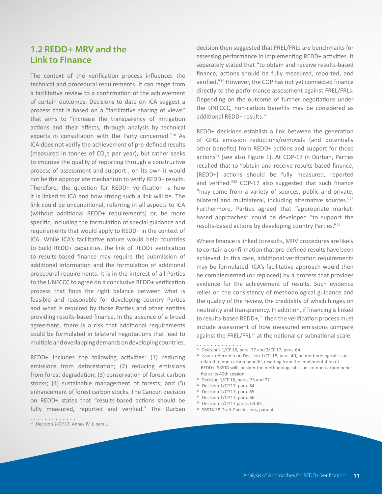## <span id="page-12-0"></span>**1.2 REDD+ MRV and the Link to Finance**

The context of the verification process influences the technical and procedural requirements. It can range from a facilitative review to a confirmation of the achievement of certain outcomes. Decisions to date on ICA suggest a process that is based on a "facilitative sharing of views" that aims to "increase the transparency of mitigation actions and their effects, through analysis by technical experts in consultation with the Party concerned."<sup>18</sup> As ICA does not verify the achievement of pre-defined results (measured in tonnes of  $CO_2$ e per year), but rather seeks to improve the quality of reporting through a constructive process of assessment and support , on its own it would not be the appropriate mechanism to verify REDD+ results. Therefore, the question for REDD+ verification is how it is linked to ICA and how strong such a link will be. The link could be unconditional, referring in all aspects to ICA (without additional REDD+ requirements) or, be more specific, including the formulation of special guidance and requirements that would apply to REDD+ in the context of ICA. While ICA's facilitative nature would help countries to build REDD+ capacities, the link of REDD+ verification to results-based finance may require the submission of additional information and the formulation of additional procedural requirements. It is in the interest of all Parties to the UNFCCC to agree on a conclusive REDD+ verification process that finds the right balance between what is feasible and reasonable for developing country Parties and what is required by those Parties and other entities providing results-based finance. In the absence of a broad agreement, there is a risk that additional requirements could be formulated in bilateral negotiations that lead to multiple and overlapping demands on developing countries.

REDD+ includes the following activities: (1) reducing emissions from deforestation; (2) reducing emissions from forest degradation; (3) conservation of forest carbon stocks; (4) sustainable management of forests; and (5) enhancement of forest carbon stocks. The Cancun decision on REDD+ states that "results-based actions should be fully measured, reported and verified." The Durban decision then suggested that FREL/FRLs are benchmarks for assessing performance in implementing REDD+ activities. It separately stated that "to obtain and receive results-based finance, actions should be fully measured, reported, and verified."<sup>19</sup> However, the COP has not yet connected finance directly to the performance assessment against FREL/FRLs. Depending on the outcome of further negotiations under the UNFCCC, non-carbon benefits may be considered as additional REDD+ results.<sup>20</sup>

REDD+ decisions establish a link between the generation of GHG emission reductions/removals (and potentially other benefits) from REDD+ actions and support for those actions<sup>21</sup> (see also Figure 1). At COP-17 in Durban, Parties recalled that to "obtain and receive results-based finance, [REDD+] actions should be fully measured, reported and verified."<sup>22</sup> COP-17 also suggested that such finance "may come from a variety of sources, public and private, bilateral and multilateral, including alternative sources."<sup>23</sup> Furthermore, Parties agreed that "appropriate marketbased approaches" could be developed "to support the results-based actions by developing country Parties."<sup>24</sup>

Where finance is linked to results, MRV procedures are likely to contain a confirmation that pre-defined results have been achieved. In this case, additional verification requirements may be formulated. ICA's facilitative approach would then be complemented (or replaced) by a process that provides evidence for the achievement of results. Such evidence relies on the consistency of methodological guidance and the quality of the review, the credibility of which hinges on neutrality and transparency. In addition, if financing is linked to results-based REDD+, $^{25}$  then the verification process must include assessment of how measured emissions compare against the FREL/FRL<sup>26</sup> at the national or subnational scale.

- $20$  Issues referred to in Decision  $1/CP-18$ , para. 40, on methodological issues related to non-carbon benefits resulting from the implementation of REDD+. SBSTA will consider the methodological issues of non-carbon benefits at its 40th session.
- $21$  Decision 1/CP.16, paras.73 and 77.
- $22$  Decision 1/CP.17, para. 64.

. . . . . . . . . . . . .

- <sup>23</sup> Decision 2/CP.17, para. 65.
- $24$  Decision 1/CP.17, para. 66.
- $25$  Decision 2/CP.17 paras. 64-65.
- <sup>26</sup> SBSTA 38 Draft Conclusions, para. 4.

<sup>19</sup> Decisions 1/CP.16, para. 77 and 2/CP.17, para. 64.

<sup>&</sup>lt;sup>18</sup> Decision 2/CP.17, Annex IV, I, para.1.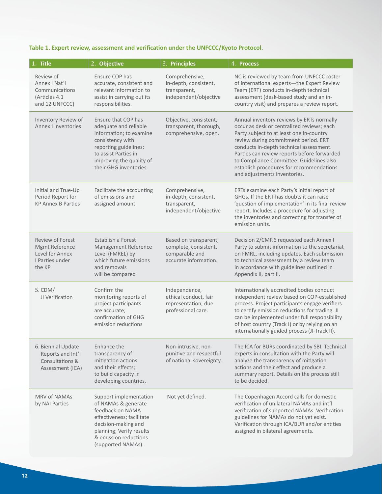## **Table 1. Expert review, assessment and verification under the UNFCCC/Kyoto Protocol.**

| 1. Title                                                                                  | 2. Objective                                                                                                                                                                                       | 3. Principles                                                                             | 4. Process                                                                                                                                                                                                                                                                                                                                                                                    |
|-------------------------------------------------------------------------------------------|----------------------------------------------------------------------------------------------------------------------------------------------------------------------------------------------------|-------------------------------------------------------------------------------------------|-----------------------------------------------------------------------------------------------------------------------------------------------------------------------------------------------------------------------------------------------------------------------------------------------------------------------------------------------------------------------------------------------|
| Review of<br>Annex   Nat'l<br>Communications<br>(Articles 4.1<br>and 12 UNFCCC)           | Ensure COP has<br>accurate, consistent and<br>relevant information to<br>assist in carrying out its<br>responsibilities.                                                                           | Comprehensive,<br>in-depth, consistent,<br>transparent,<br>independent/objective          | NC is reviewed by team from UNFCCC roster<br>of international experts-the Expert Review<br>Team (ERT) conducts in-depth technical<br>assessment (desk-based study and an in-<br>country visit) and prepares a review report.                                                                                                                                                                  |
| Inventory Review of<br><b>Annex   Inventories</b>                                         | Ensure that COP has<br>adequate and reliable<br>information; to examine<br>consistency with<br>reporting guidelines;<br>to assist Parties in<br>improving the quality of<br>their GHG inventories. | Objective, consistent,<br>transparent, thorough,<br>comprehensive, open.                  | Annual inventory reviews by ERTs normally<br>occur as desk or centralized reviews; each<br>Party subject to at least one in-country<br>review during commitment period. ERT<br>conducts in-depth technical assessment.<br>Parties can review reports before forwarded<br>to Compliance Committee. Guidelines also<br>establish procedures for recommendations<br>and adjustments inventories. |
| Initial and True-Up<br>Period Report for<br><b>KP Annex B Parties</b>                     | Facilitate the accounting<br>of emissions and<br>assigned amount.                                                                                                                                  | Comprehensive,<br>in-depth, consistent,<br>transparent,<br>independent/objective          | ERTs examine each Party's initial report of<br>GHGs. If the ERT has doubts it can raise<br>'question of implementation' in its final review<br>report. Includes a procedure for adjusting<br>the inventories and correcting for transfer of<br>emission units.                                                                                                                                |
| <b>Review of Forest</b><br>Mgmt Reference<br>Level for Annex<br>I Parties under<br>the KP | Establish a Forest<br>Management Reference<br>Level (FMREL) by<br>which future emissions<br>and removals<br>will be compared                                                                       | Based on transparent,<br>complete, consistent,<br>comparable and<br>accurate information. | Decision 2/CMP.6 requested each Annex I<br>Party to submit information to the secretariat<br>on FMRL, including updates. Each submission<br>to technical assessment by a review team<br>in accordance with guidelines outlined in<br>Appendix II, part II.                                                                                                                                    |
| $5.$ CDM/<br>JI Verification                                                              | Confirm the<br>monitoring reports of<br>project participants<br>are accurate;<br>confirmation of GHG<br>emission reductions                                                                        | Independence,<br>ethical conduct, fair<br>representation, due<br>professional care.       | Internationally accredited bodies conduct<br>independent review based on COP-established<br>process. Project participants engage verifiers<br>to certify emission reductions for trading. JI<br>can be implemented under full responsibility<br>of host country (Track I) or by relying on an<br>internationally guided process (JI-Track II).                                                |
| 6. Biennial Update<br>Reports and Int'l<br>Consultations &<br>Assessment (ICA)            | Enhance the<br>transparency of<br>mitigation actions<br>and their effects;<br>to build capacity in<br>developing countries.                                                                        | Non-intrusive, non-<br>punitive and respectful<br>of national sovereignty.                | The ICA for BURs coordinated by SBI. Technical<br>experts in consultation with the Party will<br>analyze the transparency of mitigation<br>actions and their effect and produce a<br>summary report. Details on the process still<br>to be decided.                                                                                                                                           |
| <b>MRV of NAMAs</b><br>by NAI Parties                                                     | Support implementation<br>of NAMAs & generate<br>feedback on NAMA<br>effectiveness; facilitate<br>decision-making and<br>planning; Verify results<br>& emission reductions<br>(supported NAMAs).   | Not yet defined.                                                                          | The Copenhagen Accord calls for domestic<br>verification of unilateral NAMAs and int'l<br>verification of supported NAMAs. Verification<br>guidelines for NAMAs do not yet exist.<br>Verification through ICA/BUR and/or entities<br>assigned in bilateral agreements.                                                                                                                        |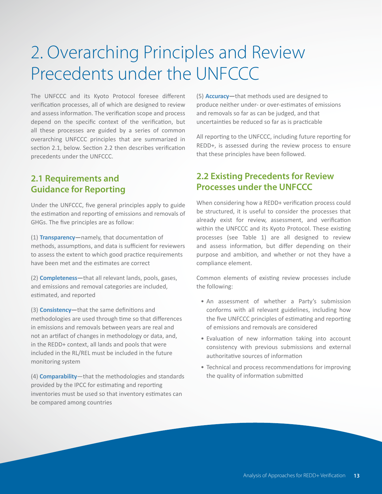# <span id="page-14-0"></span>2. Overarching Principles and Review Precedents under the UNFCCC

The UNFCCC and its Kyoto Protocol foresee different verification processes, all of which are designed to review and assess information. The verification scope and process depend on the specific context of the verification, but all these processes are guided by a series of common overarching UNFCCC principles that are summarized in section 2.1, below. Section 2.2 then describes verification precedents under the UNFCCC.

## **2.1 Requirements and Guidance for Reporting**

Under the UNFCCC, five general principles apply to guide the estimation and reporting of emissions and removals of GHGs. The five principles are as follow:

(1) **Transparency—**namely, that documentation of methods, assumptions, and data is sufficient for reviewers to assess the extent to which good practice requirements have been met and the estimates are correct

(2) **Completeness—**that all relevant lands, pools, gases, and emissions and removal categories are included, estimated, and reported

(3) **Consistency—**that the same definitions and methodologies are used through time so that differences in emissions and removals between years are real and not an artifact of changes in methodology or data, and, in the REDD+ context, all lands and pools that were included in the RL/REL must be included in the future monitoring system

(4) **Comparability**—that the methodologies and standards provided by the IPCC for estimating and reporting inventories must be used so that inventory estimates can be compared among countries

(5) **Accuracy—**that methods used are designed to produce neither under- or over-estimates of emissions and removals so far as can be judged, and that uncertainties be reduced so far as is practicable

All reporting to the UNFCCC, including future reporting for REDD+, is assessed during the review process to ensure that these principles have been followed.

## **2.2 Existing Precedents for Review Processes under the UNFCCC**

When considering how a REDD+ verification process could be structured, it is useful to consider the processes that already exist for review, assessment, and verification within the UNFCCC and its Kyoto Protocol. These existing processes (see Table 1) are all designed to review and assess information, but differ depending on their purpose and ambition, and whether or not they have a compliance element.

Common elements of existing review processes include the following:

- An assessment of whether a Party's submission conforms with all relevant guidelines, including how the five UNFCCC principles of estimating and reporting of emissions and removals are considered
- Evaluation of new information taking into account consistency with previous submissions and external authoritative sources of information
- Technical and process recommendations for improving the quality of information submitted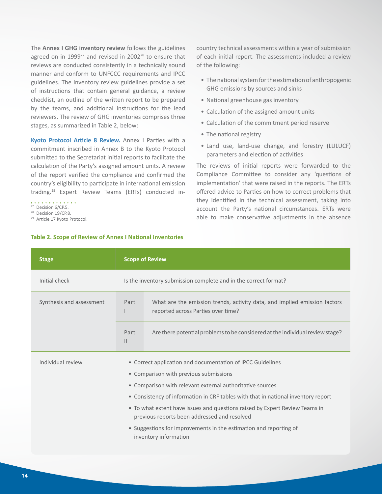The **Annex I GHG inventory review** follows the guidelines agreed on in 1999 $^{27}$  and revised in 2002 $^{28}$  to ensure that reviews are conducted consistently in a technically sound manner and conform to UNFCCC requirements and IPCC guidelines. The inventory review guidelines provide a set of instructions that contain general guidance, a review checklist, an outline of the written report to be prepared by the teams, and additional instructions for the lead reviewers. The review of GHG inventories comprises three stages, as summarized in Table 2, below:

**Kyoto Protocol Article 8 Review.** Annex I Parties with a commitment inscribed in Annex B to the Kyoto Protocol submitted to the Secretariat initial reports to facilitate the calculation of the Party's assigned amount units. A review of the report verified the compliance and confirmed the country's eligibility to participate in international emission trading.29 Expert Review Teams (ERTs) conducted in-

 $27$  Decision 6/CP.5.

<sup>28</sup> Decision 19/CP.8.

<sup>29</sup> Article 17 Kyoto Protocol.

#### **Table 2. Scope of Review of Annex I National Inventories**

country technical assessments within a year of submission of each initial report. The assessments included a review of the following:

- The national system for the estimation of anthropogenic GHG emissions by sources and sinks
- National greenhouse gas inventory
- Calculation of the assigned amount units
- Calculation of the commitment period reserve
- The national registry
- Land use, land-use change, and forestry (LULUCF) parameters and election of activities

The reviews of initial reports were forwarded to the Compliance Committee to consider any 'questions of implementation' that were raised in the reports. The ERTs offered advice to Parties on how to correct problems that they identified in the technical assessment, taking into account the Party's national circumstances. ERTs were able to make conservative adjustments in the absence

| <b>Stage</b>             | <b>Scope of Review</b>                                                                                                      |  |  |
|--------------------------|-----------------------------------------------------------------------------------------------------------------------------|--|--|
| Initial check            | Is the inventory submission complete and in the correct format?                                                             |  |  |
| Synthesis and assessment | What are the emission trends, activity data, and implied emission factors<br>Part<br>reported across Parties over time?     |  |  |
|                          | Part<br>Are there potential problems to be considered at the individual review stage?<br>$\mathsf{II}$                      |  |  |
| Individual review        | • Correct application and documentation of IPCC Guidelines                                                                  |  |  |
|                          | • Comparison with previous submissions                                                                                      |  |  |
|                          | • Comparison with relevant external authoritative sources                                                                   |  |  |
|                          | • Consistency of information in CRF tables with that in national inventory report                                           |  |  |
|                          | • To what extent have issues and questions raised by Expert Review Teams in<br>previous reports been addressed and resolved |  |  |
|                          | • Suggestions for improvements in the estimation and reporting of<br>inventory information                                  |  |  |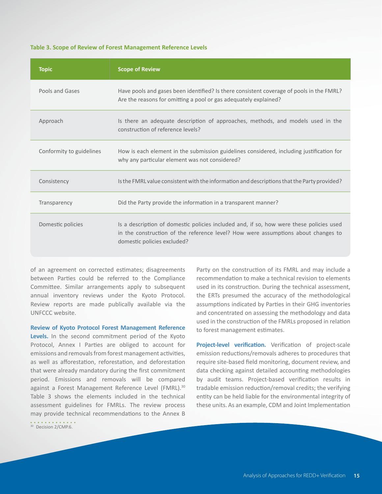#### **Table 3. Scope of Review of Forest Management Reference Levels**

| <b>Topic</b>             | <b>Scope of Review</b>                                                                                                                                                                                      |
|--------------------------|-------------------------------------------------------------------------------------------------------------------------------------------------------------------------------------------------------------|
| Pools and Gases          | Have pools and gases been identified? Is there consistent coverage of pools in the FMRL?<br>Are the reasons for omitting a pool or gas adequately explained?                                                |
| Approach                 | Is there an adequate description of approaches, methods, and models used in the<br>construction of reference levels?                                                                                        |
| Conformity to guidelines | How is each element in the submission guidelines considered, including justification for<br>why any particular element was not considered?                                                                  |
| Consistency              | Is the FMRL value consistent with the information and descriptions that the Party provided?                                                                                                                 |
| Transparency             | Did the Party provide the information in a transparent manner?                                                                                                                                              |
| Domestic policies        | Is a description of domestic policies included and, if so, how were these policies used<br>in the construction of the reference level? How were assumptions about changes to<br>domestic policies excluded? |

of an agreement on corrected estimates; disagreements between Parties could be referred to the Compliance Committee. Similar arrangements apply to subsequent annual inventory reviews under the Kyoto Protocol. Review reports are made publically available via the UNFCCC website.

**Review of Kyoto Protocol Forest Management Reference**  Levels. In the second commitment period of the Kyoto Protocol, Annex I Parties are obliged to account for emissions and removals from forest management activities, as well as afforestation, reforestation, and deforestation that were already mandatory during the first commitment period. Emissions and removals will be compared against a Forest Management Reference Level (FMRL).<sup>30</sup> Table 3 shows the elements included in the technical assessment guidelines for FMRLs. The review process may provide technical recommendations to the Annex B

<sup>30</sup> Decision 2/CMP.6.

Party on the construction of its FMRL and may include a recommendation to make a technical revision to elements used in its construction. During the technical assessment, the ERTs presumed the accuracy of the methodological assumptions indicated by Parties in their GHG inventories and concentrated on assessing the methodology and data used in the construction of the FMRLs proposed in relation to forest management estimates.

**Project-level verification.** Verification of project-scale emission reductions/removals adheres to procedures that require site-based field monitoring, document review, and data checking against detailed accounting methodologies by audit teams. Project-based verification results in tradable emission reduction/removal credits; the verifying entity can be held liable for the environmental integrity of these units. As an example, CDM and Joint Implementation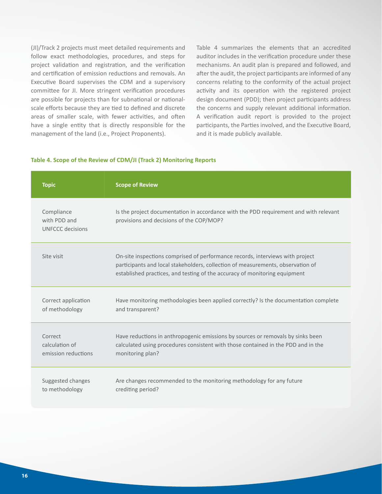(JI)/Track 2 projects must meet detailed requirements and follow exact methodologies, procedures, and steps for project validation and registration, and the verification and certification of emission reductions and removals. An Executive Board supervises the CDM and a supervisory committee for JI. More stringent verification procedures are possible for projects than for subnational or nationalscale efforts because they are tied to defined and discrete areas of smaller scale, with fewer activities, and often have a single entity that is directly responsible for the management of the land (i.e., Project Proponents).

Table 4 summarizes the elements that an accredited auditor includes in the verification procedure under these mechanisms. An audit plan is prepared and followed, and after the audit, the project participants are informed of any concerns relating to the conformity of the actual project activity and its operation with the registered project design document (PDD); then project participants address the concerns and supply relevant additional information. A verification audit report is provided to the project participants, the Parties involved, and the Executive Board, and it is made publicly available.

#### **Table 4. Scope of the Review of CDM/JI (Track 2) Monitoring Reports**

| <b>Topic</b>                                   | <b>Scope of Review</b>                                                                                                                                                                                                                         |
|------------------------------------------------|------------------------------------------------------------------------------------------------------------------------------------------------------------------------------------------------------------------------------------------------|
| Compliance<br>with PDD and<br>UNFCCC decisions | Is the project documentation in accordance with the PDD requirement and with relevant<br>provisions and decisions of the COP/MOP?                                                                                                              |
| Site visit                                     | On-site inspections comprised of performance records, interviews with project<br>participants and local stakeholders, collection of measurements, observation of<br>established practices, and testing of the accuracy of monitoring equipment |
| Correct application                            | Have monitoring methodologies been applied correctly? Is the documentation complete                                                                                                                                                            |
| of methodology                                 | and transparent?                                                                                                                                                                                                                               |
| Correct                                        | Have reductions in anthropogenic emissions by sources or removals by sinks been                                                                                                                                                                |
| calculation of                                 | calculated using procedures consistent with those contained in the PDD and in the                                                                                                                                                              |
| emission reductions                            | monitoring plan?                                                                                                                                                                                                                               |
| Suggested changes                              | Are changes recommended to the monitoring methodology for any future                                                                                                                                                                           |
| to methodology                                 | crediting period?                                                                                                                                                                                                                              |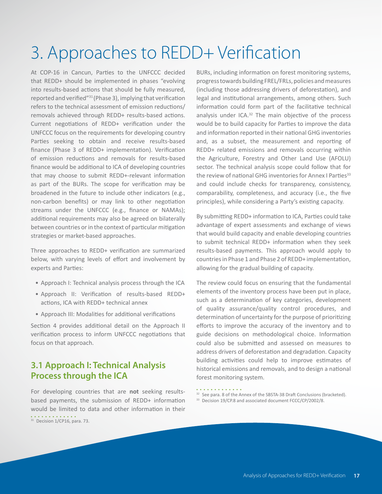# <span id="page-18-0"></span>3. Approaches to REDD+ Verification

At COP-16 in Cancun, Parties to the UNFCCC decided that REDD+ should be implemented in phases "evolving into results-based actions that should be fully measured, reported and verified"<sup>31</sup>(Phase 3), implying that verification refers to the technical assessment of emission reductions/ removals achieved through REDD+ results-based actions. Current negotiations of REDD+ verification under the UNFCCC focus on the requirements for developing country Parties seeking to obtain and receive results-based finance (Phase 3 of REDD+ implementation). Verification of emission reductions and removals for results-based finance would be additional to ICA of developing countries that may choose to submit REDD+-relevant information as part of the BURs. The scope for verification may be broadened in the future to include other indicators (e.g., non-carbon benefits) or may link to other negotiation streams under the UNFCCC (e.g., finance or NAMAs); additional requirements may also be agreed on bilaterally between countries or in the context of particular mitigation strategies or market-based approaches.

Three approaches to REDD+ verification are summarized below, with varying levels of effort and involvement by experts and Parties:

- Approach I: Technical analysis process through the ICA
- Approach II: Verification of results-based REDD+ actions, ICA with REDD+ technical annex
- Approach III: Modalities for additional verifications

Section 4 provides additional detail on the Approach II verification process to inform UNFCCC negotiations that focus on that approach.

## **3.1 Approach I: Technical Analysis Process through the ICA**

For developing countries that are **not** seeking resultsbased payments, the submission of REDD+ information would be limited to data and other information in their

<sup>31</sup> Decision 1/CP16, para. 73.

BURs, including information on forest monitoring systems, progress towards building FREL/FRLs, policies and measures (including those addressing drivers of deforestation), and legal and institutional arrangements, among others. Such information could form part of the facilitative technical analysis under ICA.<sup>32</sup> The main objective of the process would be to build capacity for Parties to improve the data and information reported in their national GHG inventories and, as a subset, the measurement and reporting of REDD+ related emissions and removals occurring within the Agriculture, Forestry and Other Land Use (AFOLU) sector. The technical analysis scope could follow that for the review of national GHG inventories for Annex I Parties<sup>33</sup> and could include checks for transparency, consistency, comparability, completeness, and accuracy (i.e., the five principles), while considering a Party's existing capacity.

By submitting REDD+ information to ICA, Parties could take advantage of expert assessments and exchange of views that would build capacity and enable developing countries to submit technical REDD+ information when they seek results-based payments. This approach would apply to countries in Phase 1 and Phase 2 of REDD+ implementation, allowing for the gradual building of capacity.

The review could focus on ensuring that the fundamental elements of the inventory process have been put in place, such as a determination of key categories, development of quality assurance/quality control procedures, and determination of uncertainty for the purpose of prioritizing efforts to improve the accuracy of the inventory and to guide decisions on methodological choice. Information could also be submitted and assessed on measures to address drivers of deforestation and degradation. Capacity building activities could help to improve estimates of historical emissions and removals, and to design a national forest monitoring system.

- <sup>32</sup> See para. 8 of the Annex of the SBSTA-38 Draft Conclusions (bracketed).
- <sup>33</sup> Decision 19/CP.8 and associated document FCCC/CP/2002/8.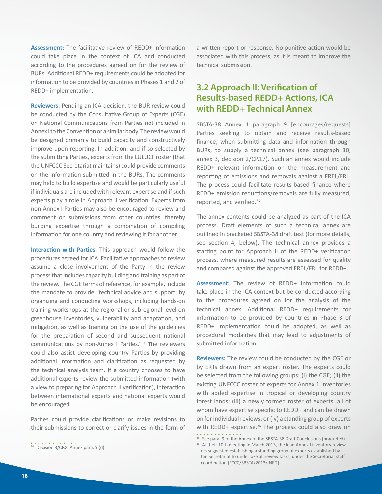<span id="page-19-0"></span>**Assessment:** The facilitative review of REDD+ information could take place in the context of ICA and conducted according to the procedures agreed on for the review of BURs. Additional REDD+ requirements could be adopted for information to be provided by countries in Phases 1 and 2 of REDD+ implementation.

**Reviewers:** Pending an ICA decision, the BUR review could be conducted by the Consultative Group of Experts (CGE) on National Communications from Parties not included in Annex I to the Convention or a similar body. The review would be designed primarily to build capacity and constructively improve upon reporting. In addition, and if so selected by the submitting Parties, experts from the LULUCF roster (that the UNFCCC Secretariat maintains) could provide comments on the information submitted in the BURs. The comments may help to build expertise and would be particularly useful if individuals are included with relevant expertise and if such experts play a role in Approach II verification. Experts from non-Annex I Parties may also be encouraged to review and comment on submissions from other countries, thereby building expertise through a combination of compiling information for one country and reviewing it for another.

**Interaction with Parties:** This approach would follow the procedures agreed for ICA. Facilitative approaches to review assume a close involvement of the Party in the review process that includes capacity building and training as part of the review. The CGE terms of reference, for example, include the mandate to provide "technical advice and support, by organizing and conducting workshops, including hands-on training workshops at the regional or subregional level on greenhouse inventories, vulnerability and adaptation, and mitigation, as well as training on the use of the guidelines for the preparation of second and subsequent national communications by non-Annex I Parties."<sup>34</sup> The reviewers could also assist developing country Parties by providing additional information and clarification as requested by the technical analysis team. If a country chooses to have additional experts review the submitted information (with a view to preparing for Approach II verification), interaction between international experts and national experts would be encouraged.

Parties could provide clarifications or make revisions to their submissions to correct or clarify issues in the form of

<sup>34</sup> Decision 3/CP.8, Annex para. 9 (d).

a written report or response. No punitive action would be associated with this process, as it is meant to improve the technical submission.

## **3.2 Approach II: Verification of Results-based REDD+ Actions, ICA with REDD+ Technical Annex**

SBSTA-38 Annex 1 paragraph 9 [encourages/requests] Parties seeking to obtain and receive results-based finance, when submitting data and information through BURs, to supply a technical annex (see paragraph 30, annex 3, decision 2/CP.17). Such an annex would include REDD+ relevant information on the measurement and reporting of emissions and removals against a FREL/FRL. The process could facilitate results-based finance where REDD+ emission reductions/removals are fully measured, reported, and verified.<sup>35</sup>

The annex contents could be analyzed as part of the ICA process. Draft elements of such a technical annex are outlined in bracketed SBSTA-38 draft text (for more details, see section 4, below). The technical annex provides a starting point for Approach II of the REDD+ verification process, where measured results are assessed for quality and compared against the approved FREL/FRL for REDD+.

**Assessment:** The review of REDD+ information could take place in the ICA context but be conducted according to the procedures agreed on for the analysis of the technical annex. Additional REDD+ requirements for information to be provided by countries in Phase 3 of REDD+ implementation could be adopted, as well as procedural modalities that may lead to adjustments of submitted information.

**Reviewers:** The review could be conducted by the CGE or by ERTs drawn from an expert roster. The experts could be selected from the following groups: (i) the CGE; (ii) the existing UNFCCC roster of experts for Annex 1 inventories with added expertise in tropical or developing country forest lands; (iii) a newly formed roster of experts, all of whom have expertise specific to REDD+ and can be drawn on for individual reviews; or (iv) a standing group of experts with REDD+ expertise.<sup>36</sup> The process could also draw on . . . . . . . . . .

<sup>&</sup>lt;sup>35</sup> See para. 9 of the Annex of the SBSTA-38 Draft Conclusions (bracketed).

<sup>&</sup>lt;sup>36</sup> At their 10th meeting in March 2013, the lead Annex I inventory reviewers suggested establishing a standing group of experts established by the Secretariat to undertake all review tasks, under the Secretariat staff coordination (FCCC/SBSTA/2013/INF.2).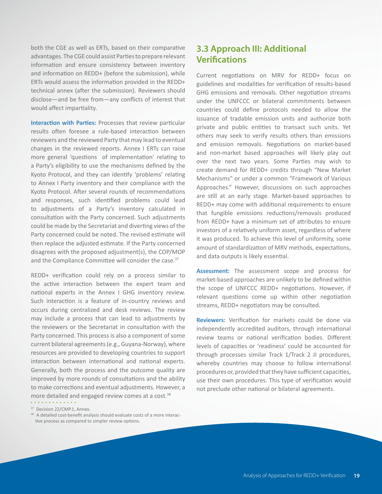<span id="page-20-0"></span>both the CGE as well as ERTs, based on their comparative advantages. The CGE could assist Parties to prepare relevant information and ensure consistency between inventory and information on REDD+ (before the submission), while ERTs would assess the information provided in the REDD+ technical annex (after the submission). Reviewers should disclose—and be free from—any conflicts of interest that would affect impartiality.

**Interaction with Parties:** Processes that review particular results often foresee a rule-based interaction between reviewers and the reviewed Party that may lead to eventual changes in the reviewed reports. Annex I ERTs can raise more general 'questions of implementation' relating to a Party's eligibility to use the mechanisms defined by the Kyoto Protocol, and they can identify 'problems' relating to Annex I Party inventory and their compliance with the Kyoto Protocol. After several rounds of recommendations and responses, such identified problems could lead to adjustments of a Party's inventory calculated in consultation with the Party concerned. Such adjustments could be made by the Secretariat and diverting views of the Party concerned could be noted. The revised estimate will then replace the adjusted estimate. If the Party concerned disagrees with the proposed adjustment(s), the COP/MOP and the Compliance Committee will consider the case.<sup>37</sup>

REDD+ verification could rely on a process similar to the active interaction between the expert team and national experts in the Annex I GHG inventory review. Such interaction is a feature of in-country reviews and occurs during centralized and desk reviews. The review may include a process that can lead to adjustments by the reviewers or the Secretariat in consultation with the Party concerned. This process is also a component of some current bilateral agreements (e.g., Guyana-Norway), where resources are provided to developing countries to support interaction between international and national experts. Generally, both the process and the outcome quality are improved by more rounds of consultations and the ability to make corrections and eventual adjustments. However, a more detailed and engaged review comes at a cost.<sup>38</sup>

<sup>37</sup> Decision 22/CMP.1, Annex.

## **3.3 Approach III: Additional Verifications**

Current negotiations on MRV for REDD+ focus on guidelines and modalities for verification of results-based GHG emissions and removals. Other negotiation streams under the UNFCCC or bilateral commitments between countries could define protocols needed to allow the issuance of tradable emission units and authorize both private and public entities to transact such units. Yet others may seek to verify results others than emissions and emission removals. Negotiations on market-based and non-market based approaches will likely play out over the next two years. Some Parties may wish to create demand for REDD+ credits through "New Market Mechanisms" or under a common "Framework of Various Approaches." However, discussions on such approaches are still at an early stage. Market-based approaches to REDD+ may come with additional requirements to ensure that fungible emissions reductions/removals produced from REDD+ have a minimum set of attributes to ensure investors of a relatively uniform asset, regardless of where it was produced. To achieve this level of uniformity, some amount of standardization of MRV methods, expectations, and data outputs is likely essential.

**Assessment:** The assessment scope and process for market-based approaches are unlikely to be defined within the scope of UNFCCC REDD+ negotiations. However, if relevant questions come up within other negotiation streams, REDD+ negotiators may be consulted.

**Reviewers:** Verification for markets could be done via independently accredited auditors, through international review teams or national verification bodies. Different levels of capacities or 'readiness' could be accounted for through processes similar Track 1/Track 2 JI procedures, whereby countries may choose to follow international procedures or, provided that they have sufficient capacities, use their own procedures. This type of verification would not preclude other national or bilateral agreements.

<sup>&</sup>lt;sup>38</sup> A detailed cost-benefit analysis should evaluate costs of a more interactive process as compared to simpler review options.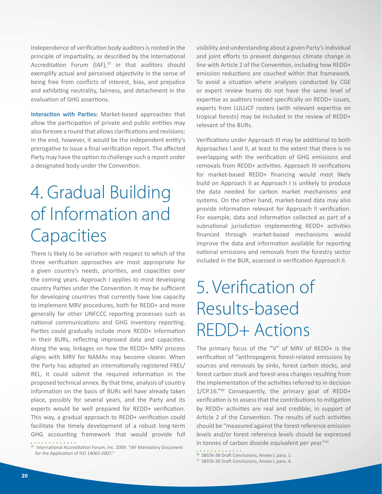<span id="page-21-0"></span>Independence of verification body auditors is rooted in the principle of impartiality, as described by the International Accreditation Forum (IAF), $39$  in that auditors should exemplify actual and perceived objectivity in the sense of being free from conflicts of interest, bias, and prejudice and exhibiting neutrality, fairness, and detachment in the evaluation of GHG assertions.

**Interaction with Parties:** Market-based approaches that allow the participation of private and public entities may also foresee a round that allows clarifications and revisions; in the end, however, it would be the independent entity's prerogative to issue a final verification report. The affected Party may have the option to challenge such a report under a designated body under the Convention.

# 4. Gradual Building of Information and **Capacities**

There is likely to be variation with respect to which of the three verification approaches are most appropriate for a given country's needs, priorities, and capacities over the coming years. Approach I applies to most developing country Parties under the Convention. It may be sufficient for developing countries that currently have low capacity to implement MRV procedures, both for REDD+ and more generally for other UNFCCC reporting processes such as national communications and GHG inventory reporting. Parties could gradually include more REDD+ information in their BURs, reflecting improved data and capacities. Along the way, linkages on how the REDD+ MRV process aligns with MRV for NAMAs may become clearer. When the Party has adopted an internationally registered FREL/ REL, it could submit the required information in the proposed technical annex. By that time, analysis of country information on the basis of BURs will have already taken place, possibly for several years, and the Party and its experts would be well prepared for REDD+ verification. This way, a gradual approach to REDD+ verification could facilitate the timely development of a robust long-term GHG accounting framework that would provide full . . . . . . . . . . . . .

visibility and understanding about a given Party's individual and joint efforts to prevent dangerous climate change in line with Article 2 of the Convention, including how REDD+ emission reductions are couched within that framework. To avoid a situation where analyses conducted by CGE or expert review teams do not have the same level of expertise as auditors trained specifically on REDD+ issues, experts from LULUCF rosters (with relevant expertise on tropical forests) may be included in the review of REDD+ relevant of the BURs.

Verifications under Approach III may be additional to both Approaches I and II, at least to the extent that there is no overlapping with the verification of GHG emissions and removals from REDD+ activities. Approach III verifications for market-based REDD+ financing would most likely build on Approach II as Approach I is unlikely to produce the data needed for carbon market mechanisms and systems. On the other hand, market-based data may also provide information relevant for Approach II verification. For example, data and information collected as part of a subnational jurisdiction implementing REDD+ activities financed through market-based mechanisms would improve the data and information available for reporting national emissions and removals from the forestry sector included in the BUR, assessed in verification Approach II.

# 5. Verification of Results-based REDD+ Actions

The primary focus of the "V" of MRV of REDD+ is the verification of "anthropogenic forest-related emissions by sources and removals by sinks, forest carbon stocks, and forest carbon stock and forest-area changes resulting from the implementation of the activities referred to in decision 1/CP.16."<sup>40</sup> Consequently, the primary goal of REDD+ verification is to assess that the contributions to mitigation by REDD+ activities are real and credible, in support of Article 2 of the Convention. The results of such activities should be "measured against the forest reference emission levels and/or forest reference levels should be expressed in tonnes of carbon dioxide equivalent per year."<sup>41</sup>

<sup>&</sup>lt;sup>39</sup> International Accreditation Forum, Inc. 2009. "IAF Mandatory Document for the Application of ISO 14065:2007."

<sup>40</sup> SBSTA-38 Draft Conclusions, Annex I, para. 1.

<sup>41</sup> SBSTA-38 Draft Conclusions, Annex I, para. 4.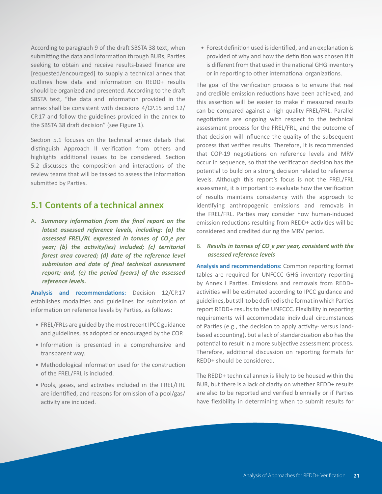<span id="page-22-0"></span>According to paragraph 9 of the draft SBSTA 38 text, when submitting the data and information through BURs, Parties seeking to obtain and receive results-based finance are [requested/encouraged] to supply a technical annex that outlines how data and information on REDD+ results should be organized and presented. According to the draft SBSTA text, "the data and information provided in the annex shall be consistent with decisions 4/CP.15 and 12/ CP.17 and follow the guidelines provided in the annex to the SBSTA 38 draft decision" (see Figure 1).

Section 5.1 focuses on the technical annex details that distinguish Approach II verification from others and highlights additional issues to be considered. Section 5.2 discusses the composition and interactions of the review teams that will be tasked to assess the information submitted by Parties.

## **5.1 Contents of a technical annex**

A. *Summary information from the final report on the latest assessed reference levels, including: (a) the assessed FREL/RL expressed in tonnes of CO<sup>2</sup> e per year; (b) the activity(ies) included; (c) territorial forest area covered; (d) date of the reference level submission and date of final technical assessment report; and, (e) the period (years) of the assessed reference levels.*

**Analysis and recommendations:** Decision 12/CP.17 establishes modalities and guidelines for submission of information on reference levels by Parties, as follows:

- FREL/FRLs are guided by the most recent IPCC guidance and guidelines, as adopted or encouraged by the COP.
- Information is presented in a comprehensive and transparent way.
- Methodological information used for the construction of the FREL/FRL is included.
- Pools, gases, and activities included in the FREL/FRL are identified, and reasons for omission of a pool/gas/ activity are included.

• Forest definition used is identified, and an explanation is provided of why and how the definition was chosen if it is different from that used in the national GHG inventory or in reporting to other international organizations.

The goal of the verification process is to ensure that real and credible emission reductions have been achieved, and this assertion will be easier to make if measured results can be compared against a high-quality FREL/FRL. Parallel negotiations are ongoing with respect to the technical assessment process for the FREL/FRL, and the outcome of that decision will influence the quality of the subsequent process that verifies results. Therefore, it is recommended that COP-19 negotiations on reference levels and MRV occur in sequence, so that the verification decision has the potential to build on a strong decision related to reference levels. Although this report's focus is not the FREL/FRL assessment, it is important to evaluate how the verification of results maintains consistency with the approach to identifying anthropogenic emissions and removals in the FREL/FRL. Parties may consider how human-induced emission reductions resulting from REDD+ activities will be considered and credited during the MRV period.

#### B. *Results in tonnes of CO<sup>2</sup> e per year, consistent with the assessed reference levels*

**Analysis and recommendations:** Common reporting format tables are required for UNFCCC GHG inventory reporting by Annex I Parties. Emissions and removals from REDD+ activities will be estimated according to IPCC guidance and guidelines, but still to be defined is the format in which Parties report REDD+ results to the UNFCCC. Flexibility in reporting requirements will accommodate individual circumstances of Parties (e.g., the decision to apply activity- versus landbased accounting), but a lack of standardization also has the potential to result in a more subjective assessment process. Therefore, additional discussion on reporting formats for REDD+ should be considered.

The REDD+ technical annex is likely to be housed within the BUR, but there is a lack of clarity on whether REDD+ results are also to be reported and verified biennially or if Parties have flexibility in determining when to submit results for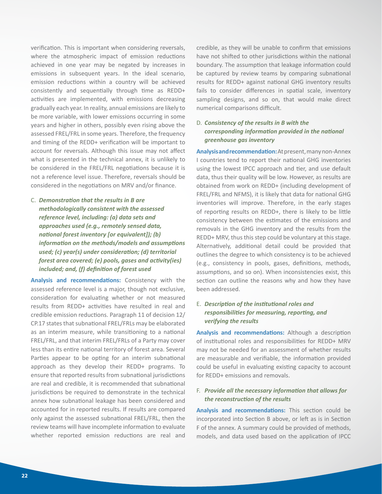verification. This is important when considering reversals, where the atmospheric impact of emission reductions achieved in one year may be negated by increases in emissions in subsequent years. In the ideal scenario, emission reductions within a country will be achieved consistently and sequentially through time as REDD+ activities are implemented, with emissions decreasing gradually each year. In reality, annual emissions are likely to be more variable, with lower emissions occurring in some years and higher in others, possibly even rising above the assessed FREL/FRL in some years. Therefore, the frequency and timing of the REDD+ verification will be important to account for reversals. Although this issue may not affect what is presented in the technical annex, it is unlikely to be considered in the FREL/FRL negotiations because it is not a reference level issue. Therefore, reversals should be considered in the negotiations on MRV and/or finance.

C. *Demonstration that the results in B are methodologically consistent with the assessed reference level, including: (a) data sets and approaches used (e.g., remotely sensed data, national forest inventory [or equivalent]); (b) information on the methods/models and assumptions used; (c) year(s) under consideration; (d) territorial forest area covered; (e) pools, gases and activity(ies) included; and, (f) definition of forest used*

**Analysis and recommendations:** Consistency with the assessed reference level is a major, though not exclusive, consideration for evaluating whether or not measured results from REDD+ activities have resulted in real and credible emission reductions. Paragraph 11 of decision 12/ CP.17 states that subnational FREL/FRLs may be elaborated as an interim measure, while transitioning to a national FREL/FRL, and that interim FREL/FRLs of a Party may cover less than its entire national territory of forest area. Several Parties appear to be opting for an interim subnational approach as they develop their REDD+ programs. To ensure that reported results from subnational jurisdictions are real and credible, it is recommended that subnational jurisdictions be required to demonstrate in the technical annex how subnational leakage has been considered and accounted for in reported results. If results are compared only against the assessed subnational FREL/FRL, then the review teams will have incomplete information to evaluate whether reported emission reductions are real and

credible, as they will be unable to confirm that emissions have not shifted to other jurisdictions within the national boundary. The assumption that leakage information could be captured by review teams by comparing subnational results for REDD+ against national GHG inventory results fails to consider differences in spatial scale, inventory sampling designs, and so on, that would make direct numerical comparisons difficult.

## D. *Consistency of the results in B with the corresponding information provided in the national greenhouse gas inventory*

**Analysis and recommendation:** At present, many non-Annex I countries tend to report their national GHG inventories using the lowest IPCC approach and tier, and use default data, thus their quality will be low. However, as results are obtained from work on REDD+ (including development of FREL/FRL and NFMS), it is likely that data for national GHG inventories will improve. Therefore, in the early stages of reporting results on REDD+, there is likely to be little consistency between the estimates of the emissions and removals in the GHG inventory and the results from the REDD+ MRV, thus this step could be voluntary at this stage. Alternatively, additional detail could be provided that outlines the degree to which consistency is to be achieved (e.g., consistency in pools, gases, definitions, methods, assumptions, and so on). When inconsistencies exist, this section can outline the reasons why and how they have been addressed.

#### E. *Description of the institutional roles and responsibilities for measuring, reporting, and verifying the results*

**Analysis and recommendations:** Although a description of institutional roles and responsibilities for REDD+ MRV may not be needed for an assessment of whether results are measurable and verifiable, the information provided could be useful in evaluating existing capacity to account for REDD+ emissions and removals.

#### F. *Provide all the necessary information that allows for the reconstruction of the results*

**Analysis and recommendations:** This section could be incorporated into Section B above, or left as is in Section F of the annex. A summary could be provided of methods, models, and data used based on the application of IPCC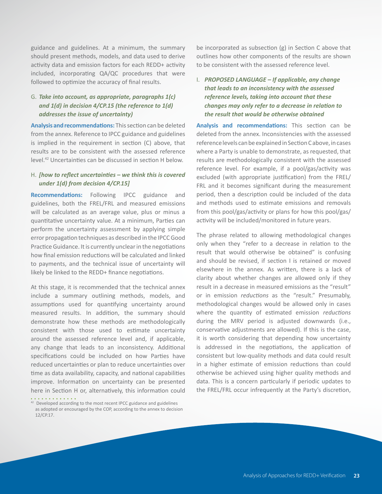guidance and guidelines. At a minimum, the summary should present methods, models, and data used to derive activity data and emission factors for each REDD+ activity included, incorporating QA/QC procedures that were followed to optimize the accuracy of final results.

#### G. *Take into account, as appropriate, paragraphs 1(c) and 1(d) in decision 4/CP.15 (the reference to 1(d) addresses the issue of uncertainty)*

**Analysis and recommendations:** This section can be deleted from the annex. Reference to IPCC guidance and guidelines is implied in the requirement in section (C) above, that results are to be consistent with the assessed reference level.<sup>42</sup> Uncertainties can be discussed in section H below.

#### H. *[how to reflect uncertainties – we think this is covered under 1(d) from decision 4/CP.15]*

**Recommendations:** Following IPCC guidance and guidelines, both the FREL/FRL and measured emissions will be calculated as an average value, plus or minus a quantitative uncertainty value. At a minimum, Parties can perform the uncertainty assessment by applying simple error propagation techniques as described in the IPCC Good Practice Guidance. It is currently unclear in the negotiations how final emission reductions will be calculated and linked to payments, and the technical issue of uncertainty will likely be linked to the REDD+ finance negotiations.

At this stage, it is recommended that the technical annex include a summary outlining methods, models, and assumptions used for quantifying uncertainty around measured results. In addition, the summary should demonstrate how these methods are methodologically consistent with those used to estimate uncertainty around the assessed reference level and, if applicable, any change that leads to an inconsistency. Additional specifications could be included on how Parties have reduced uncertainties or plan to reduce uncertainties over time as data availability, capacity, and national capabilities improve. Information on uncertainty can be presented here in Section H or, alternatively, this information could

. . . . . . . . . . .

be incorporated as subsection (g) in Section C above that outlines how other components of the results are shown to be consistent with the assessed reference level.

## I. *PROPOSED LANGUAGE – If applicable, any change that leads to an inconsistency with the assessed reference levels, taking into account that these changes may only refer to a decrease in relation to the result that would be otherwise obtained*

**Analysis and recommendations:** This section can be deleted from the annex. Inconsistencies with the assessed reference levels can be explained in Section C above, in cases where a Party is unable to demonstrate, as requested, that results are methodologically consistent with the assessed reference level. For example, if a pool/gas/activity was excluded (with appropriate justification) from the FREL/ FRL and it becomes significant during the measurement period, then a description could be included of the data and methods used to estimate emissions and removals from this pool/gas/activity or plans for how this pool/gas/ activity will be included/monitored in future years.

The phrase related to allowing methodological changes only when they "refer to a decrease in relation to the result that would otherwise be obtained" is confusing and should be revised, if section I is retained or moved elsewhere in the annex. As written, there is a lack of clarity about whether changes are allowed only if they result in a decrease in measured emissions as the "result" or in emission *reductions* as the "result." Presumably, methodological changes would be allowed only in cases where the quantity of estimated emission *reductions* during the MRV period is adjusted downwards (i.e., conservative adjustments are allowed). If this is the case, it is worth considering that depending how uncertainty is addressed in the negotiations, the application of consistent but low-quality methods and data could result in a higher estimate of emission reductions than could otherwise be achieved using higher quality methods and data. This is a concern particularly if periodic updates to the FREL/FRL occur infrequently at the Party's discretion,

<sup>&</sup>lt;sup>42</sup> Developed according to the most recent IPCC guidance and guidelines as adopted or encouraged by the COP, according to the annex to decision 12/CP.17.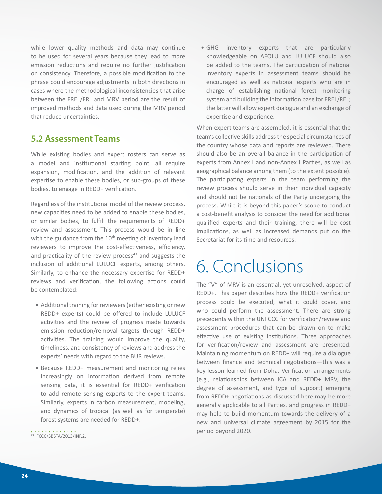<span id="page-25-0"></span>while lower quality methods and data may continue to be used for several years because they lead to more emission reductions and require no further justification on consistency. Therefore, a possible modification to the phrase could encourage adjustments in both directions in cases where the methodological inconsistencies that arise between the FREL/FRL and MRV period are the result of improved methods and data used during the MRV period that reduce uncertainties.

## **5.2 Assessment Teams**

While existing bodies and expert rosters can serve as a model and institutional starting point, all require expansion, modification, and the addition of relevant expertise to enable these bodies, or sub-groups of these bodies, to engage in REDD+ verification.

Regardless of the institutional model of the review process, new capacities need to be added to enable these bodies, or similar bodies, to fulfill the requirements of REDD+ review and assessment. This process would be in line with the guidance from the  $10<sup>th</sup>$  meeting of inventory lead reviewers to improve the cost-effectiveness, efficiency, and practicality of the review process $43$  and suggests the inclusion of additional LULUCF experts, among others. Similarly, to enhance the necessary expertise for REDD+ reviews and verification, the following actions could be contemplated:

- Additional training for reviewers (either existing or new REDD+ experts) could be offered to include LULUCF activities and the review of progress made towards emission reduction/removal targets through REDD+ activities. The training would improve the quality, timeliness, and consistency of reviews and address the experts' needs with regard to the BUR reviews.
- Because REDD+ measurement and monitoring relies increasingly on information derived from remote sensing data, it is essential for REDD+ verification to add remote sensing experts to the expert teams. Similarly, experts in carbon measurement, modeling, and dynamics of tropical (as well as for temperate) forest systems are needed for REDD+.

• GHG inventory experts that are particularly knowledgeable on AFOLU and LULUCF should also be added to the teams. The participation of national inventory experts in assessment teams should be encouraged as well as national experts who are in charge of establishing national forest monitoring system and building the information base for FREL/REL; the latter will allow expert dialogue and an exchange of expertise and experience.

When expert teams are assembled, it is essential that the team's collective skills address the special circumstances of the country whose data and reports are reviewed. There should also be an overall balance in the participation of experts from Annex I and non-Annex I Parties, as well as geographical balance among them (to the extent possible). The participating experts in the team performing the review process should serve in their individual capacity and should not be nationals of the Party undergoing the process. While it is beyond this paper's scope to conduct a cost-benefit analysis to consider the need for additional qualified experts and their training, there will be cost implications, as well as increased demands put on the Secretariat for its time and resources.

# 6. Conclusions

The "V" of MRV is an essential, yet unresolved, aspect of REDD+. This paper describes how the REDD+ verification process could be executed, what it could cover, and who could perform the assessment. There are strong precedents within the UNFCCC for verification/review and assessment procedures that can be drawn on to make effective use of existing institutions. Three approaches for verification/review and assessment are presented. Maintaining momentum on REDD+ will require a dialogue between finance and technical negotiations—this was a key lesson learned from Doha. Verification arrangements (e.g., relationships between ICA and REDD+ MRV, the degree of assessment, and type of support) emerging from REDD+ negotiations as discussed here may be more generally applicable to all Parties, and progress in REDD+ may help to build momentum towards the delivery of a new and universal climate agreement by 2015 for the period beyond 2020.

<sup>43</sup> FCCC/SBSTA/2013/INF.2.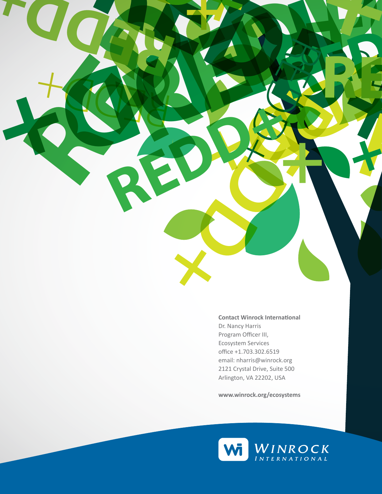Dr. Nancy Harris Program Officer III, Ecosystem Services office +1.703.302.6519

**Contact Winrock International**

RED BY

**REDD+ REDD+**

**REDD+ REDD+**

**+**

RED B

RED BY

**REDDING AND A** 

**REDD+**

REDD+

RED BY

RED

**+**

**REDD+**

**REDD+**

RED

RED PRODUCTS

RED

 $\frac{1}{\sqrt{2}}$ 

REDD

email: nharris@winrock.org 2121 Crystal Drive, Suite 500 Arlington, VA 22202, USA

**www.winrock.org/ecosystems**